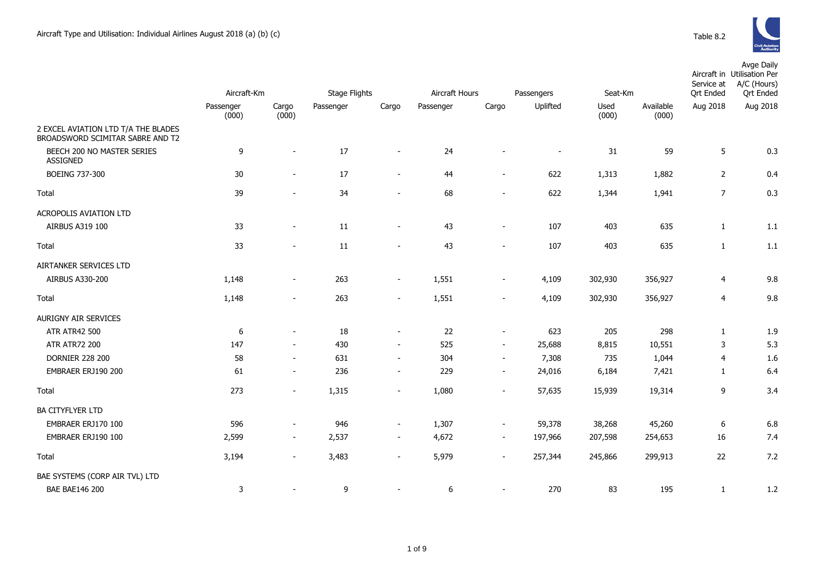

|                                        | Aircraft-Km |                          | <b>Stage Flights</b> |                          |           | Aircraft Hours           | Passengers               | Seat-Km |           | Service at<br><b>Ort Ended</b> | Avge Daily<br>Aircraft in Utilisation Per<br>A/C (Hours)<br><b>Qrt Ended</b> |
|----------------------------------------|-------------|--------------------------|----------------------|--------------------------|-----------|--------------------------|--------------------------|---------|-----------|--------------------------------|------------------------------------------------------------------------------|
|                                        | Passenger   | Cargo                    | Passenger            | Cargo                    | Passenger | Cargo                    | Uplifted                 | Used    | Available | Aug 2018                       | Aug 2018                                                                     |
| 2 EXCEL AVIATION LTD T/A THE BLADES    | (000)       | (000)                    |                      |                          |           |                          |                          | (000)   | (000)     |                                |                                                                              |
| BROADSWORD SCIMITAR SABRE AND T2       |             |                          |                      |                          |           |                          |                          |         |           |                                |                                                                              |
| BEECH 200 NO MASTER SERIES<br>ASSIGNED | 9           | $\blacksquare$           | 17                   | $\overline{\phantom{a}}$ | 24        |                          | $\overline{\phantom{a}}$ | 31      | 59        | 5                              | 0.3                                                                          |
| <b>BOEING 737-300</b>                  | 30          | $\sim$                   | 17                   | $\overline{\phantom{a}}$ | 44        | $\blacksquare$           | 622                      | 1,313   | 1,882     | $\overline{2}$                 | 0.4                                                                          |
| Total                                  | 39          |                          | 34                   | $\overline{\phantom{a}}$ | 68        |                          | 622                      | 1,344   | 1,941     | $\overline{7}$                 | 0.3                                                                          |
| ACROPOLIS AVIATION LTD                 |             |                          |                      |                          |           |                          |                          |         |           |                                |                                                                              |
| AIRBUS A319 100                        | 33          | $\blacksquare$           | 11                   | $\overline{\phantom{a}}$ | 43        | $\blacksquare$           | 107                      | 403     | 635       | $\mathbf{1}$                   | 1.1                                                                          |
| Total                                  | 33          |                          | 11                   |                          | 43        |                          | 107                      | 403     | 635       | 1                              | 1.1                                                                          |
| AIRTANKER SERVICES LTD                 |             |                          |                      |                          |           |                          |                          |         |           |                                |                                                                              |
| AIRBUS A330-200                        | 1,148       | $\blacksquare$           | 263                  | $\sim$                   | 1,551     | $\blacksquare$           | 4,109                    | 302,930 | 356,927   | $\overline{4}$                 | 9.8                                                                          |
| Total                                  | 1,148       | $\overline{\phantom{a}}$ | 263                  | $\overline{\phantom{a}}$ | 1,551     |                          | 4,109                    | 302,930 | 356,927   | 4                              | 9.8                                                                          |
| <b>AURIGNY AIR SERVICES</b>            |             |                          |                      |                          |           |                          |                          |         |           |                                |                                                                              |
| ATR ATR42 500                          | 6           | $\blacksquare$           | 18                   | $\overline{\phantom{a}}$ | 22        | $\blacksquare$           | 623                      | 205     | 298       | $\mathbf{1}$                   | 1.9                                                                          |
| <b>ATR ATR72 200</b>                   | 147         | $\overline{\phantom{a}}$ | 430                  | $\sim$                   | 525       | $\blacksquare$           | 25,688                   | 8,815   | 10,551    | 3                              | 5.3                                                                          |
| <b>DORNIER 228 200</b>                 | 58          | $\blacksquare$           | 631                  | $\blacksquare$           | 304       | $\sim$                   | 7,308                    | 735     | 1,044     | 4                              | 1.6                                                                          |
| EMBRAER ERJ190 200                     | 61          | $\sim$                   | 236                  | $\sim$                   | 229       | $\sim$                   | 24,016                   | 6,184   | 7,421     | 1                              | 6.4                                                                          |
| Total                                  | 273         | $\overline{a}$           | 1,315                | $\blacksquare$           | 1,080     | $\sim$                   | 57,635                   | 15,939  | 19,314    | 9                              | 3.4                                                                          |
| <b>BA CITYFLYER LTD</b>                |             |                          |                      |                          |           |                          |                          |         |           |                                |                                                                              |
| EMBRAER ERJ170 100                     | 596         | $\blacksquare$           | 946                  | $\blacksquare$           | 1,307     | $\sim$                   | 59,378                   | 38,268  | 45,260    | 6                              | 6.8                                                                          |
| EMBRAER ERJ190 100                     | 2,599       | $\blacksquare$           | 2,537                | $\overline{\phantom{a}}$ | 4,672     | $\sim$                   | 197,966                  | 207,598 | 254,653   | 16                             | 7.4                                                                          |
| Total                                  | 3,194       | $\sim$                   | 3,483                | $\blacksquare$           | 5,979     | $\overline{\phantom{a}}$ | 257,344                  | 245,866 | 299,913   | 22                             | 7.2                                                                          |
| BAE SYSTEMS (CORP AIR TVL) LTD         |             |                          |                      |                          |           |                          |                          |         |           |                                |                                                                              |
| <b>BAE BAE146 200</b>                  | 3           |                          | 9                    |                          | 6         |                          | 270                      | 83      | 195       | $\mathbf{1}$                   | 1.2                                                                          |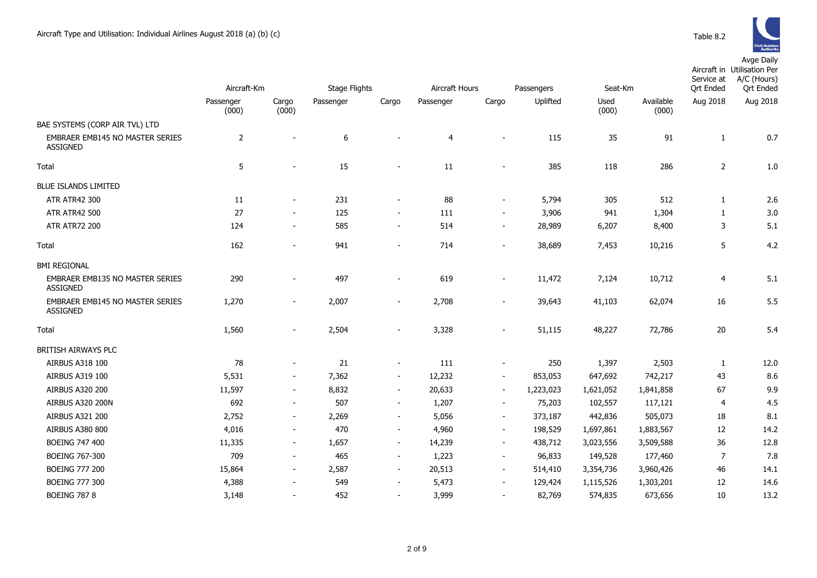

|                                                           | Aircraft-Km        |                          | <b>Stage Flights</b> |                          | Aircraft Hours<br>Passengers |                          |           | Seat-Km       |                    | Service at<br>Ort Ended | Aircraft in Utilisation Per<br>A/C (Hours)<br><b>Qrt Ended</b> |
|-----------------------------------------------------------|--------------------|--------------------------|----------------------|--------------------------|------------------------------|--------------------------|-----------|---------------|--------------------|-------------------------|----------------------------------------------------------------|
|                                                           | Passenger<br>(000) | Cargo<br>(000)           | Passenger            | Cargo                    | Passenger                    | Cargo                    | Uplifted  | Used<br>(000) | Available<br>(000) | Aug 2018                | Aug 2018                                                       |
| BAE SYSTEMS (CORP AIR TVL) LTD                            |                    |                          |                      |                          |                              |                          |           |               |                    |                         |                                                                |
| <b>EMBRAER EMB145 NO MASTER SERIES</b><br><b>ASSIGNED</b> | $\overline{2}$     |                          | 6                    |                          | 4                            |                          | 115       | 35            | 91                 | $\mathbf{1}$            | 0.7                                                            |
| Total                                                     | 5                  |                          | 15                   |                          | 11                           |                          | 385       | 118           | 286                | $\overline{2}$          | 1.0                                                            |
| <b>BLUE ISLANDS LIMITED</b>                               |                    |                          |                      |                          |                              |                          |           |               |                    |                         |                                                                |
| ATR ATR42 300                                             | 11                 |                          | 231                  | $\overline{\phantom{a}}$ | 88                           | $\sim$                   | 5,794     | 305           | 512                | $\mathbf{1}$            | 2.6                                                            |
| <b>ATR ATR42 500</b>                                      | 27                 | $\sim$                   | 125                  | $\blacksquare$           | 111                          | $\sim$                   | 3,906     | 941           | 1,304              | 1                       | 3.0                                                            |
| <b>ATR ATR72 200</b>                                      | 124                | $\sim$                   | 585                  | $\blacksquare$           | 514                          | $\sim$                   | 28,989    | 6,207         | 8,400              | 3                       | 5.1                                                            |
| Total                                                     | 162                | $\sim$                   | 941                  | $\blacksquare$           | 714                          | $\sim$                   | 38,689    | 7,453         | 10,216             | 5                       | 4.2                                                            |
| <b>BMI REGIONAL</b>                                       |                    |                          |                      |                          |                              |                          |           |               |                    |                         |                                                                |
| <b>EMBRAER EMB135 NO MASTER SERIES</b><br><b>ASSIGNED</b> | 290                |                          | 497                  |                          | 619                          | $\sim$                   | 11,472    | 7,124         | 10,712             | $\overline{4}$          | 5.1                                                            |
| EMBRAER EMB145 NO MASTER SERIES<br><b>ASSIGNED</b>        | 1,270              | $\sim$                   | 2,007                | $\overline{\phantom{a}}$ | 2,708                        | $\sim$                   | 39,643    | 41,103        | 62,074             | 16                      | 5.5                                                            |
| Total                                                     | 1,560              |                          | 2,504                |                          | 3,328                        |                          | 51,115    | 48,227        | 72,786             | 20                      | 5.4                                                            |
| BRITISH AIRWAYS PLC                                       |                    |                          |                      |                          |                              |                          |           |               |                    |                         |                                                                |
| AIRBUS A318 100                                           | 78                 | $\sim$                   | 21                   | $\overline{\phantom{a}}$ | 111                          | $\blacksquare$           | 250       | 1,397         | 2,503              | $\mathbf{1}$            | 12.0                                                           |
| AIRBUS A319 100                                           | 5,531              | $\sim$                   | 7,362                | $\overline{\phantom{a}}$ | 12,232                       | $\sim$                   | 853,053   | 647,692       | 742,217            | 43                      | 8.6                                                            |
| AIRBUS A320 200                                           | 11,597             | $\sim$                   | 8,832                | $\overline{\phantom{a}}$ | 20,633                       | $\blacksquare$           | 1,223,023 | 1,621,052     | 1,841,858          | 67                      | 9.9                                                            |
| AIRBUS A320 200N                                          | 692                | $\overline{\phantom{a}}$ | 507                  | $\overline{\phantom{a}}$ | 1,207                        | $\overline{\phantom{a}}$ | 75,203    | 102,557       | 117,121            | $\overline{4}$          | 4.5                                                            |
| AIRBUS A321 200                                           | 2,752              | $\overline{\phantom{a}}$ | 2,269                | $\overline{\phantom{a}}$ | 5,056                        | $\overline{\phantom{a}}$ | 373,187   | 442,836       | 505,073            | 18                      | 8.1                                                            |
| <b>AIRBUS A380 800</b>                                    | 4,016              | $\sim$                   | 470                  | $\overline{\phantom{a}}$ | 4,960                        | $\sim$                   | 198,529   | 1,697,861     | 1,883,567          | 12                      | 14.2                                                           |
| <b>BOEING 747 400</b>                                     | 11,335             | $\sim$                   | 1,657                | $\overline{\phantom{a}}$ | 14,239                       | $\sim$                   | 438,712   | 3,023,556     | 3,509,588          | 36                      | 12.8                                                           |
| <b>BOEING 767-300</b>                                     | 709                | $\blacksquare$           | 465                  | $\overline{\phantom{a}}$ | 1,223                        | $\overline{\phantom{a}}$ | 96,833    | 149,528       | 177,460            | $\overline{7}$          | 7.8                                                            |
| <b>BOEING 777 200</b>                                     | 15,864             | $\overline{\phantom{a}}$ | 2,587                | $\overline{\phantom{a}}$ | 20,513                       | $\overline{\phantom{a}}$ | 514,410   | 3,354,736     | 3,960,426          | 46                      | 14.1                                                           |
| <b>BOEING 777 300</b>                                     | 4,388              | $\overline{\phantom{a}}$ | 549                  | $\overline{\phantom{a}}$ | 5,473                        | $\sim$                   | 129,424   | 1,115,526     | 1,303,201          | 12                      | 14.6                                                           |
| <b>BOEING 787 8</b>                                       | 3,148              |                          | 452                  | $\overline{\phantom{a}}$ | 3,999                        |                          | 82,769    | 574,835       | 673,656            | 10                      | 13.2                                                           |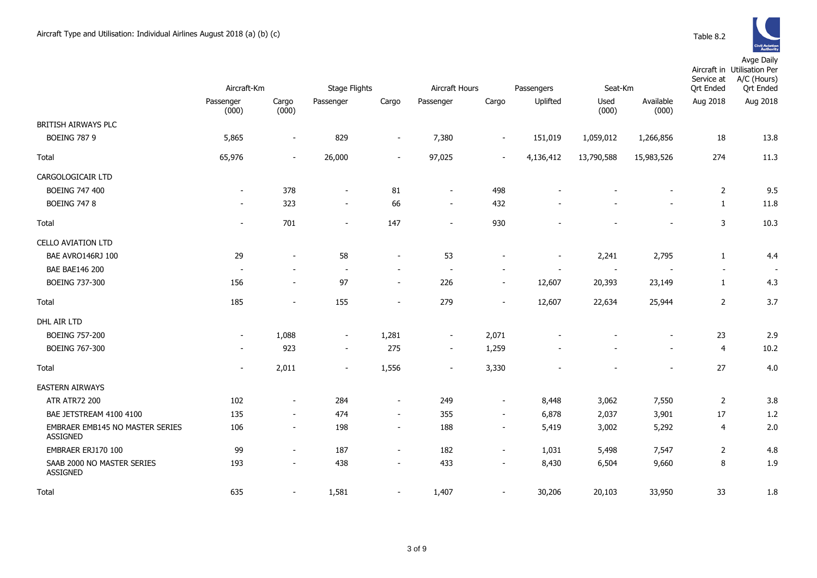Avge Daily

|                                                    | Aircraft-Km              |                          | <b>Stage Flights</b>     |                          |                          | Aircraft Hours<br>Seat-Km<br>Passengers |                |               |                    | Service at<br><b>Qrt Ended</b> | Aircraft in Utilisation Per<br>A/C (Hours)<br><b>Qrt Ended</b> |
|----------------------------------------------------|--------------------------|--------------------------|--------------------------|--------------------------|--------------------------|-----------------------------------------|----------------|---------------|--------------------|--------------------------------|----------------------------------------------------------------|
|                                                    | Passenger<br>(000)       | Cargo<br>(000)           | Passenger                | Cargo                    | Passenger                | Cargo                                   | Uplifted       | Used<br>(000) | Available<br>(000) | Aug 2018                       | Aug 2018                                                       |
| BRITISH AIRWAYS PLC                                |                          |                          |                          |                          |                          |                                         |                |               |                    |                                |                                                                |
| <b>BOEING 787 9</b>                                | 5,865                    | $\overline{\phantom{a}}$ | 829                      | $\overline{\phantom{a}}$ | 7,380                    | $\overline{\phantom{a}}$                | 151,019        | 1,059,012     | 1,266,856          | 18                             | 13.8                                                           |
| Total                                              | 65,976                   | $\sim$                   | 26,000                   | $\sim$                   | 97,025                   | $\sim$                                  | 4,136,412      | 13,790,588    | 15,983,526         | 274                            | 11.3                                                           |
| CARGOLOGICAIR LTD                                  |                          |                          |                          |                          |                          |                                         |                |               |                    |                                |                                                                |
| <b>BOEING 747 400</b>                              | $\overline{\phantom{a}}$ | 378                      | $\overline{\phantom{a}}$ | 81                       | $\blacksquare$           | 498                                     |                |               |                    | $\overline{2}$                 | 9.5                                                            |
| <b>BOEING 747 8</b>                                | $\overline{\phantom{a}}$ | 323                      | $\blacksquare$           | 66                       | $\overline{\phantom{a}}$ | 432                                     |                |               |                    | $\mathbf{1}$                   | 11.8                                                           |
| Total                                              | $\sim$                   | 701                      | $\sim$                   | 147                      | $\overline{\phantom{a}}$ | 930                                     |                |               |                    | 3                              | 10.3                                                           |
| <b>CELLO AVIATION LTD</b>                          |                          |                          |                          |                          |                          |                                         |                |               |                    |                                |                                                                |
| BAE AVRO146RJ 100                                  | 29                       | $\sim$                   | 58                       | $\overline{\phantom{a}}$ | 53                       | $\overline{a}$                          | $\overline{a}$ | 2,241         | 2,795              | $\mathbf{1}$                   | 4.4                                                            |
| <b>BAE BAE146 200</b>                              | $\sim$                   |                          | $\sim$                   | $\overline{\phantom{a}}$ | $\overline{\phantom{a}}$ |                                         |                | $\sim$        |                    | $\overline{\phantom{a}}$       | $\overline{\phantom{a}}$                                       |
| <b>BOEING 737-300</b>                              | 156                      |                          | 97                       | $\blacksquare$           | 226                      | $\overline{\phantom{a}}$                | 12,607         | 20,393        | 23,149             | $\mathbf{1}$                   | 4.3                                                            |
| Total                                              | 185                      | $\sim$                   | 155                      | $\blacksquare$           | 279                      | $\blacksquare$                          | 12,607         | 22,634        | 25,944             | $\overline{2}$                 | 3.7                                                            |
| DHL AIR LTD                                        |                          |                          |                          |                          |                          |                                         |                |               |                    |                                |                                                                |
| <b>BOEING 757-200</b>                              | $\overline{\phantom{a}}$ | 1,088                    | $\sim$                   | 1,281                    | $\blacksquare$           | 2,071                                   |                |               |                    | 23                             | 2.9                                                            |
| BOEING 767-300                                     | $\overline{\phantom{a}}$ | 923                      | $\sim$                   | 275                      | $\overline{\phantom{a}}$ | 1,259                                   |                |               |                    | $\overline{4}$                 | 10.2                                                           |
| Total                                              | $\overline{\phantom{a}}$ | 2,011                    | $\overline{\phantom{a}}$ | 1,556                    | $\overline{\phantom{a}}$ | 3,330                                   |                |               |                    | 27                             | 4.0                                                            |
| <b>EASTERN AIRWAYS</b>                             |                          |                          |                          |                          |                          |                                         |                |               |                    |                                |                                                                |
| <b>ATR ATR72 200</b>                               | 102                      | $\sim$                   | 284                      | $\sim$                   | 249                      | $\sim$                                  | 8,448          | 3,062         | 7,550              | $\overline{2}$                 | 3.8                                                            |
| BAE JETSTREAM 4100 4100                            | 135                      | $\sim$                   | 474                      | $\sim$                   | 355                      | $\sim$                                  | 6,878          | 2,037         | 3,901              | 17                             | 1.2                                                            |
| EMBRAER EMB145 NO MASTER SERIES<br><b>ASSIGNED</b> | 106                      | $\sim$                   | 198                      | $\overline{\phantom{a}}$ | 188                      | $\blacksquare$                          | 5,419          | 3,002         | 5,292              | $\overline{4}$                 | 2.0                                                            |
| EMBRAER ERJ170 100                                 | 99                       | $\sim$                   | 187                      | $\overline{\phantom{a}}$ | 182                      | $\blacksquare$                          | 1,031          | 5,498         | 7,547              | $\overline{2}$                 | 4.8                                                            |
| SAAB 2000 NO MASTER SERIES<br><b>ASSIGNED</b>      | 193                      | $\sim$                   | 438                      | $\blacksquare$           | 433                      | $\blacksquare$                          | 8,430          | 6,504         | 9,660              | 8                              | 1.9                                                            |
| Total                                              | 635                      | $\sim$                   | 1,581                    | $\overline{\phantom{a}}$ | 1,407                    | $\overline{a}$                          | 30,206         | 20,103        | 33,950             | 33                             | 1.8                                                            |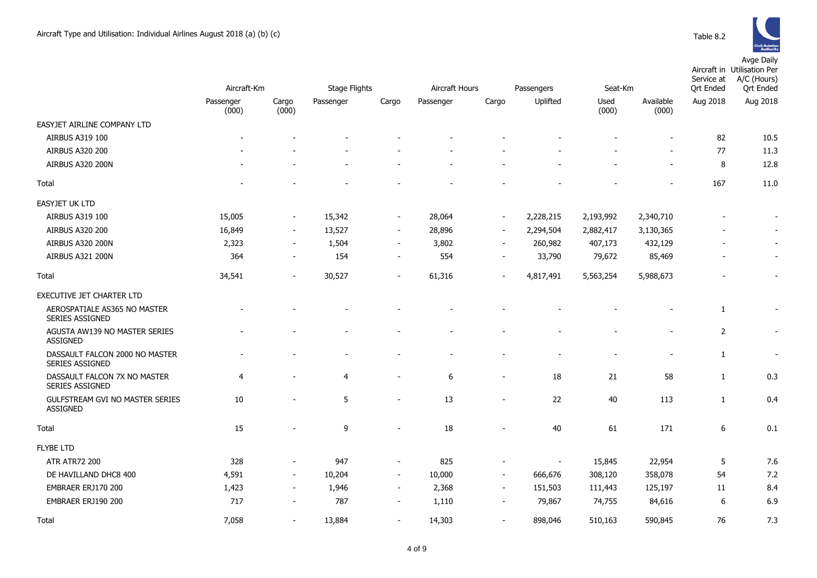

|                                                           |                    |                          |                      |                          |                |                          |                          |               |                    | Service at       | Aircraft in Utilisation Per<br>A/C (Hours) |
|-----------------------------------------------------------|--------------------|--------------------------|----------------------|--------------------------|----------------|--------------------------|--------------------------|---------------|--------------------|------------------|--------------------------------------------|
|                                                           | Aircraft-Km        |                          | <b>Stage Flights</b> |                          | Aircraft Hours |                          | Passengers               | Seat-Km       |                    | <b>Qrt Ended</b> | <b>Qrt Ended</b>                           |
|                                                           | Passenger<br>(000) | Cargo<br>(000)           | Passenger            | Cargo                    | Passenger      | Cargo                    | Uplifted                 | Used<br>(000) | Available<br>(000) | Aug 2018         | Aug 2018                                   |
| EASYJET AIRLINE COMPANY LTD                               |                    |                          |                      |                          |                |                          |                          |               |                    |                  |                                            |
| AIRBUS A319 100                                           |                    |                          |                      |                          |                |                          |                          |               |                    | 82               | 10.5                                       |
| <b>AIRBUS A320 200</b>                                    |                    |                          |                      |                          |                |                          |                          |               |                    | 77               | 11.3                                       |
| AIRBUS A320 200N                                          |                    |                          |                      |                          |                |                          |                          |               |                    | 8                | 12.8                                       |
| Total                                                     |                    |                          |                      |                          |                |                          |                          |               |                    | 167              | 11.0                                       |
| EASYJET UK LTD                                            |                    |                          |                      |                          |                |                          |                          |               |                    |                  |                                            |
| <b>AIRBUS A319 100</b>                                    | 15,005             | $\sim$                   | 15,342               | $\sim$                   | 28,064         | $\sim$                   | 2,228,215                | 2,193,992     | 2,340,710          |                  |                                            |
| AIRBUS A320 200                                           | 16,849             | $\overline{\phantom{a}}$ | 13,527               | $\overline{\phantom{a}}$ | 28,896         | $\overline{\phantom{a}}$ | 2,294,504                | 2,882,417     | 3,130,365          |                  |                                            |
| AIRBUS A320 200N                                          | 2,323              | $\overline{\phantom{a}}$ | 1,504                | $\overline{\phantom{a}}$ | 3,802          | $\overline{\phantom{a}}$ | 260,982                  | 407,173       | 432,129            |                  |                                            |
| AIRBUS A321 200N                                          | 364                | $\overline{\phantom{a}}$ | 154                  | $\sim$                   | 554            | $\overline{\phantom{a}}$ | 33,790                   | 79,672        | 85,469             |                  |                                            |
| Total                                                     | 34,541             | $\overline{\phantom{a}}$ | 30,527               | $\overline{\phantom{a}}$ | 61,316         | $\blacksquare$           | 4,817,491                | 5,563,254     | 5,988,673          |                  |                                            |
| EXECUTIVE JET CHARTER LTD                                 |                    |                          |                      |                          |                |                          |                          |               |                    |                  |                                            |
| AEROSPATIALE AS365 NO MASTER<br>SERIES ASSIGNED           |                    |                          |                      |                          |                |                          |                          |               |                    | 1                |                                            |
| AGUSTA AW139 NO MASTER SERIES<br><b>ASSIGNED</b>          |                    |                          |                      |                          |                |                          |                          |               |                    | $\overline{2}$   | $\blacksquare$                             |
| DASSAULT FALCON 2000 NO MASTER<br><b>SERIES ASSIGNED</b>  |                    |                          |                      |                          |                |                          |                          |               |                    | 1                |                                            |
| DASSAULT FALCON 7X NO MASTER<br>SERIES ASSIGNED           | $\overline{4}$     |                          | 4                    | $\overline{\phantom{a}}$ | 6              | $\overline{\phantom{a}}$ | 18                       | 21            | 58                 | $\mathbf{1}$     | 0.3                                        |
| <b>GULFSTREAM GVI NO MASTER SERIES</b><br><b>ASSIGNED</b> | 10                 |                          | 5                    | $\overline{\phantom{a}}$ | 13             | $\overline{\phantom{a}}$ | 22                       | 40            | 113                | 1                | 0.4                                        |
| Total                                                     | 15                 |                          | 9                    |                          | 18             |                          | 40                       | 61            | 171                | 6                | 0.1                                        |
| <b>FLYBE LTD</b>                                          |                    |                          |                      |                          |                |                          |                          |               |                    |                  |                                            |
| <b>ATR ATR72 200</b>                                      | 328                | $\overline{\phantom{a}}$ | 947                  | $\overline{\phantom{a}}$ | 825            | $\overline{a}$           | $\overline{\phantom{a}}$ | 15,845        | 22,954             | 5                | 7.6                                        |
| DE HAVILLAND DHC8 400                                     | 4,591              | $\overline{\phantom{a}}$ | 10,204               | $\blacksquare$           | 10,000         | $\blacksquare$           | 666,676                  | 308,120       | 358,078            | 54               | 7.2                                        |
| EMBRAER ERJ170 200                                        | 1,423              | $\sim$                   | 1,946                | $\overline{\phantom{a}}$ | 2,368          | $\sim$                   | 151,503                  | 111,443       | 125,197            | 11               | 8.4                                        |
| EMBRAER ERJ190 200                                        | 717                | $\blacksquare$           | 787                  | $\blacksquare$           | 1,110          | $\blacksquare$           | 79,867                   | 74,755        | 84,616             | 6                | 6.9                                        |
| Total                                                     | 7,058              |                          | 13,884               | $\overline{a}$           | 14,303         | $\blacksquare$           | 898,046                  | 510,163       | 590,845            | 76               | 7.3                                        |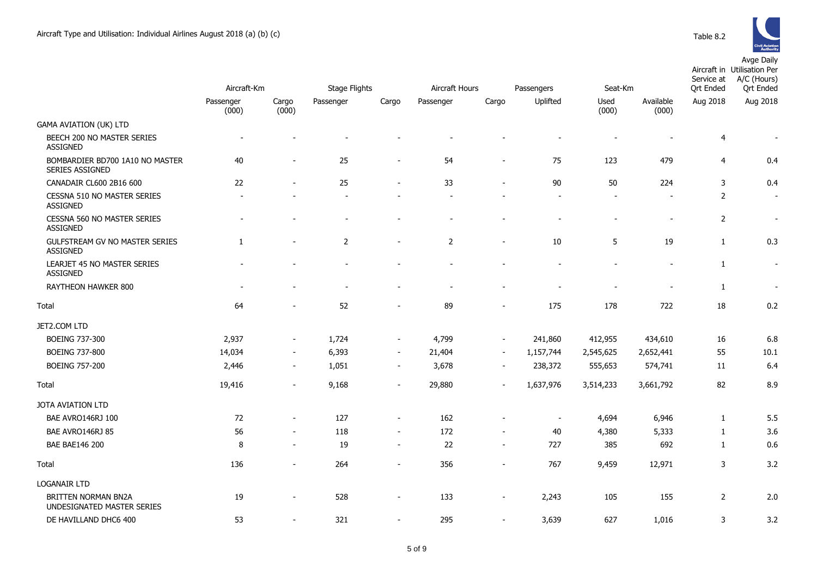

|                                                          | Aircraft-Km        |                          |                | <b>Stage Flights</b><br>Aircraft Hours<br>Seat-Km<br>Passengers |                |                          |                          |                          |                          | Service at<br><b>Qrt Ended</b> | Aircraft in Utilisation Per<br>A/C (Hours)<br><b>Ort Ended</b> |
|----------------------------------------------------------|--------------------|--------------------------|----------------|-----------------------------------------------------------------|----------------|--------------------------|--------------------------|--------------------------|--------------------------|--------------------------------|----------------------------------------------------------------|
|                                                          | Passenger<br>(000) | Cargo<br>(000)           | Passenger      | Cargo                                                           | Passenger      | Cargo                    | Uplifted                 | Used<br>(000)            | Available<br>(000)       | Aug 2018                       | Aug 2018                                                       |
| <b>GAMA AVIATION (UK) LTD</b>                            |                    |                          |                |                                                                 |                |                          |                          |                          |                          |                                |                                                                |
| BEECH 200 NO MASTER SERIES<br><b>ASSIGNED</b>            |                    |                          |                |                                                                 |                |                          |                          |                          |                          | $\overline{4}$                 | $\blacksquare$                                                 |
| BOMBARDIER BD700 1A10 NO MASTER<br>SERIES ASSIGNED       | 40                 | ÷,                       | 25             | $\overline{a}$                                                  | 54             | $\overline{\phantom{a}}$ | 75                       | 123                      | 479                      | $\overline{4}$                 | 0.4                                                            |
| CANADAIR CL600 2B16 600                                  | 22                 | $\overline{\phantom{a}}$ | 25             | $\blacksquare$                                                  | 33             | $\overline{\phantom{a}}$ | 90                       | 50                       | 224                      | $\mathbf{3}$                   | 0.4                                                            |
| CESSNA 510 NO MASTER SERIES<br><b>ASSIGNED</b>           |                    |                          |                |                                                                 |                |                          |                          |                          |                          | $\mathbf 2$                    | $\sim$                                                         |
| <b>CESSNA 560 NO MASTER SERIES</b><br><b>ASSIGNED</b>    |                    | $\blacksquare$           | $\blacksquare$ | $\blacksquare$                                                  | $\blacksquare$ | $\blacksquare$           | $\overline{\phantom{0}}$ | $\overline{\phantom{a}}$ | $\overline{\phantom{a}}$ | 2                              | $\blacksquare$                                                 |
| GULFSTREAM GV NO MASTER SERIES<br><b>ASSIGNED</b>        | $\mathbf{1}$       | $\overline{\phantom{a}}$ | $\overline{2}$ | $\sim$                                                          | $\overline{2}$ | $\blacksquare$           | 10                       | 5                        | 19                       | $\mathbf{1}$                   | 0.3                                                            |
| LEARJET 45 NO MASTER SERIES<br><b>ASSIGNED</b>           |                    |                          |                |                                                                 |                |                          |                          |                          |                          | $\mathbf{1}$                   | $\sim$                                                         |
| RAYTHEON HAWKER 800                                      |                    |                          |                |                                                                 |                |                          |                          |                          |                          | $\mathbf{1}$                   | $\blacksquare$                                                 |
| Total                                                    | 64                 |                          | 52             | $\blacksquare$                                                  | 89             | $\blacksquare$           | 175                      | 178                      | 722                      | 18                             | 0.2                                                            |
| JET2.COM LTD                                             |                    |                          |                |                                                                 |                |                          |                          |                          |                          |                                |                                                                |
| <b>BOEING 737-300</b>                                    | 2,937              | $\overline{\phantom{a}}$ | 1,724          | $\sim$                                                          | 4,799          | $\overline{\phantom{a}}$ | 241,860                  | 412,955                  | 434,610                  | 16                             | 6.8                                                            |
| <b>BOEING 737-800</b>                                    | 14,034             | $\overline{\phantom{a}}$ | 6,393          | $\sim$                                                          | 21,404         | $\blacksquare$           | 1,157,744                | 2,545,625                | 2,652,441                | 55                             | 10.1                                                           |
| <b>BOEING 757-200</b>                                    | 2,446              | $\overline{\phantom{a}}$ | 1,051          | $\overline{\phantom{a}}$                                        | 3,678          | $\overline{\phantom{a}}$ | 238,372                  | 555,653                  | 574,741                  | 11                             | 6.4                                                            |
| Total                                                    | 19,416             | $\sim$                   | 9,168          | $\overline{\phantom{a}}$                                        | 29,880         |                          | 1,637,976                | 3,514,233                | 3,661,792                | 82                             | 8.9                                                            |
| JOTA AVIATION LTD                                        |                    |                          |                |                                                                 |                |                          |                          |                          |                          |                                |                                                                |
| BAE AVRO146RJ 100                                        | 72                 | $\overline{\phantom{a}}$ | 127            |                                                                 | 162            |                          |                          | 4,694                    | 6,946                    | 1                              | 5.5                                                            |
| BAE AVRO146RJ 85                                         | 56                 | $\overline{\phantom{a}}$ | 118            | $\overline{\phantom{a}}$                                        | 172            | $\blacksquare$           | 40                       | 4,380                    | 5,333                    | 1                              | 3.6                                                            |
| <b>BAE BAE146 200</b>                                    | 8                  | $\overline{\phantom{a}}$ | 19             | $\blacksquare$                                                  | 22             | $\blacksquare$           | 727                      | 385                      | 692                      | 1                              | 0.6                                                            |
| Total                                                    | 136                | $\blacksquare$           | 264            | $\blacksquare$                                                  | 356            | $\blacksquare$           | 767                      | 9,459                    | 12,971                   | $\mathsf{3}$                   | 3.2                                                            |
| <b>LOGANAIR LTD</b>                                      |                    |                          |                |                                                                 |                |                          |                          |                          |                          |                                |                                                                |
| <b>BRITTEN NORMAN BN2A</b><br>UNDESIGNATED MASTER SERIES | 19                 | $\blacksquare$           | 528            | $\overline{\phantom{a}}$                                        | 133            | $\blacksquare$           | 2,243                    | 105                      | 155                      | $\overline{2}$                 | 2.0                                                            |
| DE HAVILLAND DHC6 400                                    | 53                 | $\blacksquare$           | 321            | $\blacksquare$                                                  | 295            | $\blacksquare$           | 3,639                    | 627                      | 1,016                    | 3                              | 3.2                                                            |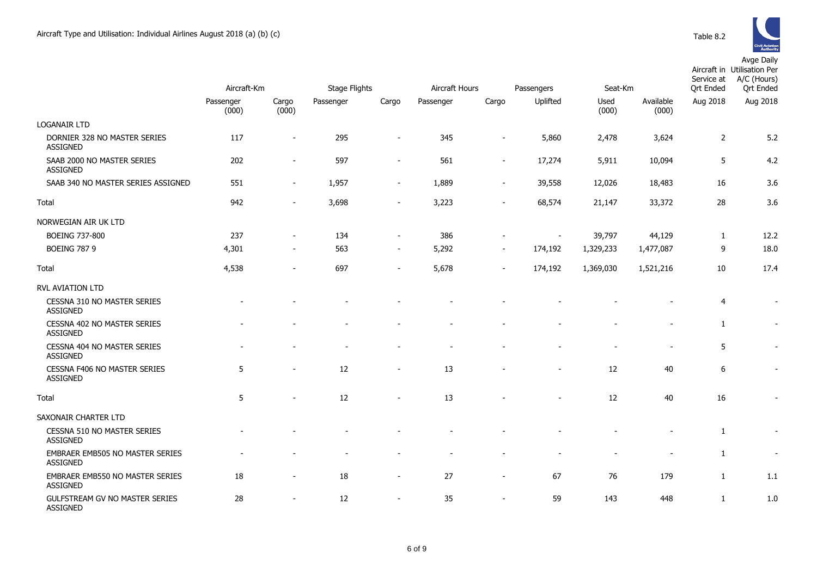Avge Daily

|                                                        | Aircraft-Km        |                          | <b>Stage Flights</b> |                          | Aircraft Hours |                          | Passengers | Seat-Km       |                    | Service at<br>Ort Ended | Aircraft in Utilisation Per<br>A/C (Hours)<br>Ort Ended |
|--------------------------------------------------------|--------------------|--------------------------|----------------------|--------------------------|----------------|--------------------------|------------|---------------|--------------------|-------------------------|---------------------------------------------------------|
|                                                        | Passenger<br>(000) | Cargo<br>(000)           | Passenger            | Cargo                    | Passenger      | Cargo                    | Uplifted   | Used<br>(000) | Available<br>(000) | Aug 2018                | Aug 2018                                                |
| <b>LOGANAIR LTD</b>                                    |                    |                          |                      |                          |                |                          |            |               |                    |                         |                                                         |
| DORNIER 328 NO MASTER SERIES<br><b>ASSIGNED</b>        | 117                | $\overline{\phantom{a}}$ | 295                  | $\overline{\phantom{0}}$ | 345            |                          | 5,860      | 2,478         | 3,624              | $\overline{2}$          | 5.2                                                     |
| SAAB 2000 NO MASTER SERIES<br><b>ASSIGNED</b>          | 202                | $\overline{\phantom{a}}$ | 597                  | $\overline{a}$           | 561            |                          | 17,274     | 5,911         | 10,094             | 5                       | 4.2                                                     |
| SAAB 340 NO MASTER SERIES ASSIGNED                     | 551                | $\sim$                   | 1,957                | $\blacksquare$           | 1,889          | $\overline{\phantom{a}}$ | 39,558     | 12,026        | 18,483             | 16                      | 3.6                                                     |
| Total                                                  | 942                | $\blacksquare$           | 3,698                | $\overline{\phantom{a}}$ | 3,223          | $\overline{\phantom{a}}$ | 68,574     | 21,147        | 33,372             | 28                      | 3.6                                                     |
| NORWEGIAN AIR UK LTD                                   |                    |                          |                      |                          |                |                          |            |               |                    |                         |                                                         |
| <b>BOEING 737-800</b>                                  | 237                |                          | 134                  | $\overline{\phantom{a}}$ | 386            |                          |            | 39,797        | 44,129             | 1                       | 12.2                                                    |
| <b>BOEING 787 9</b>                                    | 4,301              | $\overline{\phantom{a}}$ | 563                  | $\overline{\phantom{a}}$ | 5,292          | $\blacksquare$           | 174,192    | 1,329,233     | 1,477,087          | 9                       | 18.0                                                    |
| Total                                                  | 4,538              | $\blacksquare$           | 697                  | $\blacksquare$           | 5,678          | $\blacksquare$           | 174,192    | 1,369,030     | 1,521,216          | 10                      | 17.4                                                    |
| RVL AVIATION LTD                                       |                    |                          |                      |                          |                |                          |            |               |                    |                         |                                                         |
| <b>CESSNA 310 NO MASTER SERIES</b><br><b>ASSIGNED</b>  |                    |                          |                      |                          |                |                          |            |               |                    | $\overline{4}$          | $\overline{\phantom{a}}$                                |
| CESSNA 402 NO MASTER SERIES<br><b>ASSIGNED</b>         |                    |                          |                      |                          |                |                          |            |               |                    | $\mathbf{1}$            |                                                         |
| CESSNA 404 NO MASTER SERIES<br><b>ASSIGNED</b>         |                    |                          |                      |                          |                |                          |            |               |                    | 5                       |                                                         |
| <b>CESSNA F406 NO MASTER SERIES</b><br><b>ASSIGNED</b> | 5                  | $\overline{a}$           | 12                   | $\overline{\phantom{a}}$ | 13             |                          |            | 12            | 40                 | 6                       | $\overline{\phantom{a}}$                                |
| Total                                                  | 5                  |                          | 12                   |                          | 13             |                          |            | 12            | 40                 | 16                      |                                                         |
| SAXONAIR CHARTER LTD                                   |                    |                          |                      |                          |                |                          |            |               |                    |                         |                                                         |
| CESSNA 510 NO MASTER SERIES<br><b>ASSIGNED</b>         |                    |                          |                      |                          |                |                          |            |               |                    | 1                       |                                                         |
| EMBRAER EMB505 NO MASTER SERIES<br><b>ASSIGNED</b>     |                    |                          |                      |                          |                |                          |            |               |                    | $\mathbf{1}$            |                                                         |
| EMBRAER EMB550 NO MASTER SERIES<br><b>ASSIGNED</b>     | 18                 | ÷                        | 18                   | $\overline{\phantom{a}}$ | 27             | $\overline{\phantom{a}}$ | 67         | 76            | 179                | $\mathbf{1}$            | 1.1                                                     |
| GULFSTREAM GV NO MASTER SERIES<br><b>ASSIGNED</b>      | 28                 |                          | 12                   | $\overline{a}$           | 35             | $\overline{\phantom{a}}$ | 59         | 143           | 448                | $\mathbf{1}$            | 1.0                                                     |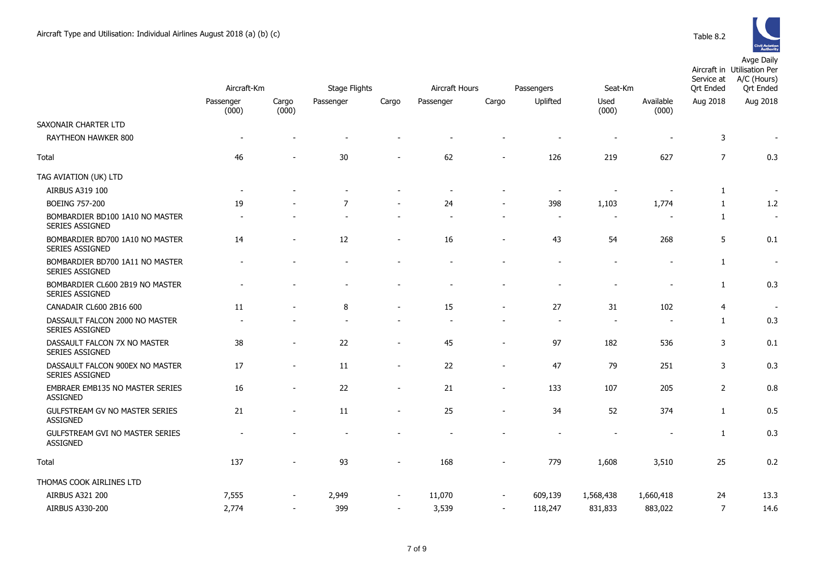

|                                                          | Aircraft-Km              |                          | <b>Stage Flights</b> |                          | Aircraft Hours<br>Passengers |                          |          | Seat-Km                  |                          | Service at<br><b>Qrt Ended</b> | 10.9<br>Aircraft in Utilisation Per<br>A/C (Hours)<br><b>Qrt Ended</b> |
|----------------------------------------------------------|--------------------------|--------------------------|----------------------|--------------------------|------------------------------|--------------------------|----------|--------------------------|--------------------------|--------------------------------|------------------------------------------------------------------------|
|                                                          | Passenger<br>(000)       | Cargo<br>(000)           | Passenger            | Cargo                    | Passenger                    | Cargo                    | Uplifted | Used<br>(000)            | Available<br>(000)       | Aug 2018                       | Aug 2018                                                               |
| SAXONAIR CHARTER LTD                                     |                          |                          |                      |                          |                              |                          |          |                          |                          |                                |                                                                        |
| RAYTHEON HAWKER 800                                      | $\overline{\phantom{a}}$ |                          |                      |                          |                              |                          |          | $\overline{\phantom{a}}$ |                          | 3                              | $\overline{\phantom{a}}$                                               |
| Total                                                    | 46                       |                          | 30                   |                          | 62                           |                          | 126      | 219                      | 627                      | $\overline{7}$                 | 0.3                                                                    |
| TAG AVIATION (UK) LTD                                    |                          |                          |                      |                          |                              |                          |          |                          |                          |                                |                                                                        |
| AIRBUS A319 100                                          |                          |                          |                      |                          |                              |                          |          | $\overline{a}$           | $\blacksquare$           | $\mathbf{1}$                   |                                                                        |
| <b>BOEING 757-200</b>                                    | 19                       |                          | $\overline{7}$       | $\overline{\phantom{a}}$ | 24                           | $\blacksquare$           | 398      | 1,103                    | 1,774                    | $\mathbf{1}$                   | 1.2                                                                    |
| BOMBARDIER BD100 1A10 NO MASTER<br>SERIES ASSIGNED       |                          |                          |                      |                          |                              |                          |          |                          |                          | $\mathbf{1}$                   | $\overline{\phantom{a}}$                                               |
| BOMBARDIER BD700 1A10 NO MASTER<br>SERIES ASSIGNED       | 14                       | $\blacksquare$           | 12                   | $\blacksquare$           | 16                           | $\blacksquare$           | 43       | 54                       | 268                      | 5                              | 0.1                                                                    |
| BOMBARDIER BD700 1A11 NO MASTER<br>SERIES ASSIGNED       |                          |                          |                      |                          |                              |                          |          | $\overline{a}$           |                          | $\mathbf{1}$                   | $\overline{\phantom{a}}$                                               |
| BOMBARDIER CL600 2B19 NO MASTER<br>SERIES ASSIGNED       |                          |                          |                      |                          |                              |                          |          |                          | $\overline{\phantom{a}}$ | $\mathbf{1}$                   | 0.3                                                                    |
| CANADAIR CL600 2B16 600                                  | 11                       |                          | 8                    | $\overline{\phantom{a}}$ | 15                           | $\overline{\phantom{a}}$ | 27       | 31                       | 102                      | $\overline{4}$                 |                                                                        |
| DASSAULT FALCON 2000 NO MASTER<br><b>SERIES ASSIGNED</b> |                          |                          |                      |                          |                              |                          |          | $\overline{\phantom{a}}$ | $\overline{\phantom{a}}$ | $\mathbf{1}$                   | 0.3                                                                    |
| DASSAULT FALCON 7X NO MASTER<br>SERIES ASSIGNED          | 38                       | $\overline{\phantom{a}}$ | 22                   | $\overline{\phantom{a}}$ | 45                           | $\overline{a}$           | 97       | 182                      | 536                      | 3                              | 0.1                                                                    |
| DASSAULT FALCON 900EX NO MASTER<br>SERIES ASSIGNED       | 17                       | $\blacksquare$           | 11                   | $\blacksquare$           | 22                           | $\overline{a}$           | 47       | 79                       | 251                      | 3                              | 0.3                                                                    |
| EMBRAER EMB135 NO MASTER SERIES<br><b>ASSIGNED</b>       | 16                       |                          | 22                   | $\blacksquare$           | 21                           | $\overline{a}$           | 133      | 107                      | 205                      | $\overline{2}$                 | 0.8                                                                    |
| GULFSTREAM GV NO MASTER SERIES<br><b>ASSIGNED</b>        | 21                       | $\blacksquare$           | 11                   | $\overline{\phantom{a}}$ | 25                           | $\overline{\phantom{0}}$ | 34       | 52                       | 374                      | $\mathbf{1}$                   | 0.5                                                                    |
| GULFSTREAM GVI NO MASTER SERIES<br><b>ASSIGNED</b>       |                          |                          |                      |                          |                              |                          |          | $\overline{a}$           |                          | $\mathbf{1}$                   | 0.3                                                                    |
| Total                                                    | 137                      |                          | 93                   |                          | 168                          | $\overline{\phantom{a}}$ | 779      | 1,608                    | 3,510                    | 25                             | 0.2                                                                    |
| THOMAS COOK AIRLINES LTD                                 |                          |                          |                      |                          |                              |                          |          |                          |                          |                                |                                                                        |
| AIRBUS A321 200                                          | 7,555                    |                          | 2,949                | $\overline{\phantom{a}}$ | 11,070                       | $\overline{\phantom{a}}$ | 609,139  | 1,568,438                | 1,660,418                | 24                             | 13.3                                                                   |

AIRBUS A330-200 2,774 - 399 - 3,539 - 118,247 831,833 883,022 7 14.6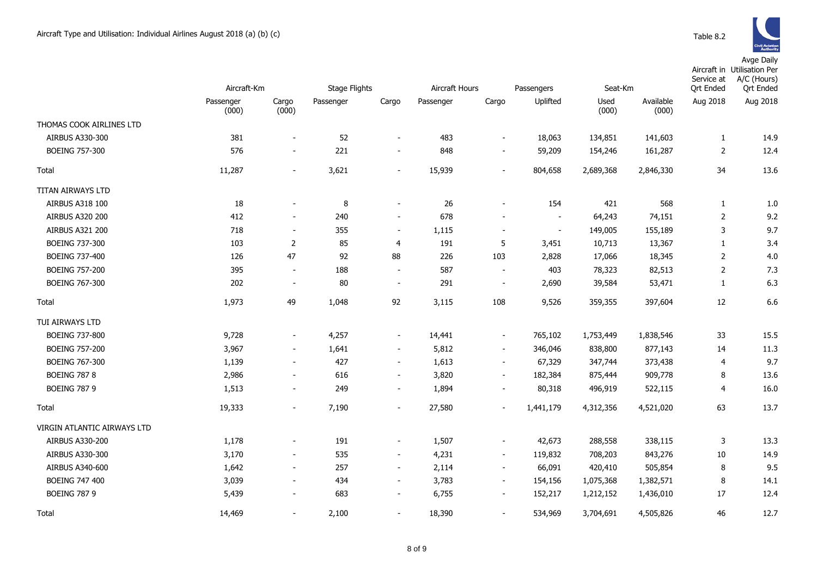Avge Daily

|                                    | Aircraft-Km        |                          | <b>Stage Flights</b> |                          | Aircraft Hours |                          | Passengers     | Seat-Km       |                    | Service at<br><b>Ort Ended</b> | Aircraft in Utilisation Per<br>A/C (Hours)<br><b>Qrt Ended</b> |
|------------------------------------|--------------------|--------------------------|----------------------|--------------------------|----------------|--------------------------|----------------|---------------|--------------------|--------------------------------|----------------------------------------------------------------|
|                                    | Passenger<br>(000) | Cargo<br>(000)           | Passenger            | Cargo                    | Passenger      | Cargo                    | Uplifted       | Used<br>(000) | Available<br>(000) | Aug 2018                       | Aug 2018                                                       |
| THOMAS COOK AIRLINES LTD           |                    |                          |                      |                          |                |                          |                |               |                    |                                |                                                                |
| AIRBUS A330-300                    | 381                | $\overline{\phantom{a}}$ | 52                   | $\overline{\phantom{a}}$ | 483            | $\overline{\phantom{a}}$ | 18,063         | 134,851       | 141,603            | $\mathbf{1}$                   | 14.9                                                           |
| <b>BOEING 757-300</b>              | 576                | $\sim$                   | 221                  | $\overline{\phantom{a}}$ | 848            | $\sim$                   | 59,209         | 154,246       | 161,287            | $\overline{2}$                 | 12.4                                                           |
| Total                              | 11,287             | $\overline{\phantom{0}}$ | 3,621                | $\overline{\phantom{0}}$ | 15,939         | $\overline{\phantom{0}}$ | 804,658        | 2,689,368     | 2,846,330          | 34                             | 13.6                                                           |
| TITAN AIRWAYS LTD                  |                    |                          |                      |                          |                |                          |                |               |                    |                                |                                                                |
| AIRBUS A318 100                    | 18                 | $\overline{a}$           | 8                    | $\overline{\phantom{a}}$ | 26             | $\overline{\phantom{0}}$ | 154            | 421           | 568                | $\mathbf{1}$                   | 1.0                                                            |
| <b>AIRBUS A320 200</b>             | 412                | $\overline{\phantom{0}}$ | 240                  | $\overline{\phantom{a}}$ | 678            | $\overline{a}$           | $\blacksquare$ | 64,243        | 74,151             | $\overline{2}$                 | 9.2                                                            |
| <b>AIRBUS A321 200</b>             | 718                | $\blacksquare$           | 355                  | $\blacksquare$           | 1,115          | $\overline{a}$           | $\sim$         | 149,005       | 155,189            | 3                              | 9.7                                                            |
| BOEING 737-300                     | 103                | $\overline{2}$           | 85                   | 4                        | 191            | 5                        | 3,451          | 10,713        | 13,367             | $\mathbf{1}$                   | 3.4                                                            |
| BOEING 737-400                     | 126                | 47                       | 92                   | 88                       | 226            | 103                      | 2,828          | 17,066        | 18,345             | 2                              | 4.0                                                            |
| <b>BOEING 757-200</b>              | 395                | $\blacksquare$           | 188                  | $\sim$                   | 587            | $\blacksquare$           | 403            | 78,323        | 82,513             | 2                              | 7.3                                                            |
| <b>BOEING 767-300</b>              | 202                | $\overline{\phantom{a}}$ | 80                   | $\blacksquare$           | 291            | $\overline{\phantom{a}}$ | 2,690          | 39,584        | 53,471             | $\mathbf{1}$                   | 6.3                                                            |
| Total                              | 1,973              | 49                       | 1,048                | 92                       | 3,115          | 108                      | 9,526          | 359,355       | 397,604            | 12                             | 6.6                                                            |
| TUI AIRWAYS LTD                    |                    |                          |                      |                          |                |                          |                |               |                    |                                |                                                                |
| BOEING 737-800                     | 9,728              | $\overline{\phantom{a}}$ | 4,257                | $\overline{\phantom{a}}$ | 14,441         | $\overline{\phantom{a}}$ | 765,102        | 1,753,449     | 1,838,546          | 33                             | 15.5                                                           |
| <b>BOEING 757-200</b>              | 3,967              | $\frac{1}{2}$            | 1,641                | $\overline{\phantom{a}}$ | 5,812          | $\frac{1}{2}$            | 346,046        | 838,800       | 877,143            | 14                             | 11.3                                                           |
| BOEING 767-300                     | 1,139              | $\overline{\phantom{a}}$ | 427                  | $\overline{\phantom{a}}$ | 1,613          | $\blacksquare$           | 67,329         | 347,744       | 373,438            | 4                              | 9.7                                                            |
| <b>BOEING 787 8</b>                | 2,986              | $\overline{\phantom{0}}$ | 616                  | $\sim$                   | 3,820          | $\sim$                   | 182,384        | 875,444       | 909,778            | 8                              | 13.6                                                           |
| <b>BOEING 787 9</b>                | 1,513              | $\overline{\phantom{0}}$ | 249                  | $\overline{\phantom{a}}$ | 1,894          | $\overline{a}$           | 80,318         | 496,919       | 522,115            | $\overline{4}$                 | 16.0                                                           |
| Total                              | 19,333             | $\overline{\phantom{a}}$ | 7,190                | $\overline{\phantom{a}}$ | 27,580         | $\blacksquare$           | 1,441,179      | 4,312,356     | 4,521,020          | 63                             | 13.7                                                           |
| <b>VIRGIN ATLANTIC AIRWAYS LTD</b> |                    |                          |                      |                          |                |                          |                |               |                    |                                |                                                                |
| AIRBUS A330-200                    | 1,178              | $\overline{\phantom{0}}$ | 191                  | $\overline{\phantom{a}}$ | 1,507          | $\overline{\phantom{0}}$ | 42,673         | 288,558       | 338,115            | 3                              | 13.3                                                           |
| AIRBUS A330-300                    | 3,170              | $\overline{\phantom{0}}$ | 535                  | $\overline{\phantom{a}}$ | 4,231          | $\overline{\phantom{a}}$ | 119,832        | 708,203       | 843,276            | 10                             | 14.9                                                           |
| AIRBUS A340-600                    | 1,642              | $\overline{\phantom{a}}$ | 257                  | $\blacksquare$           | 2,114          | $\overline{\phantom{a}}$ | 66,091         | 420,410       | 505,854            | 8                              | 9.5                                                            |
| <b>BOEING 747 400</b>              | 3,039              | $\overline{\phantom{a}}$ | 434                  | $\blacksquare$           | 3,783          | $\blacksquare$           | 154,156        | 1,075,368     | 1,382,571          | 8                              | 14.1                                                           |
| <b>BOEING 787 9</b>                | 5,439              | $\overline{\phantom{a}}$ | 683                  | $\overline{\phantom{a}}$ | 6,755          | $\overline{\phantom{a}}$ | 152,217        | 1,212,152     | 1,436,010          | 17                             | 12.4                                                           |
| Total                              | 14,469             | $\overline{\phantom{0}}$ | 2,100                | $\overline{\phantom{a}}$ | 18,390         | $\blacksquare$           | 534,969        | 3,704,691     | 4,505,826          | 46                             | 12.7                                                           |